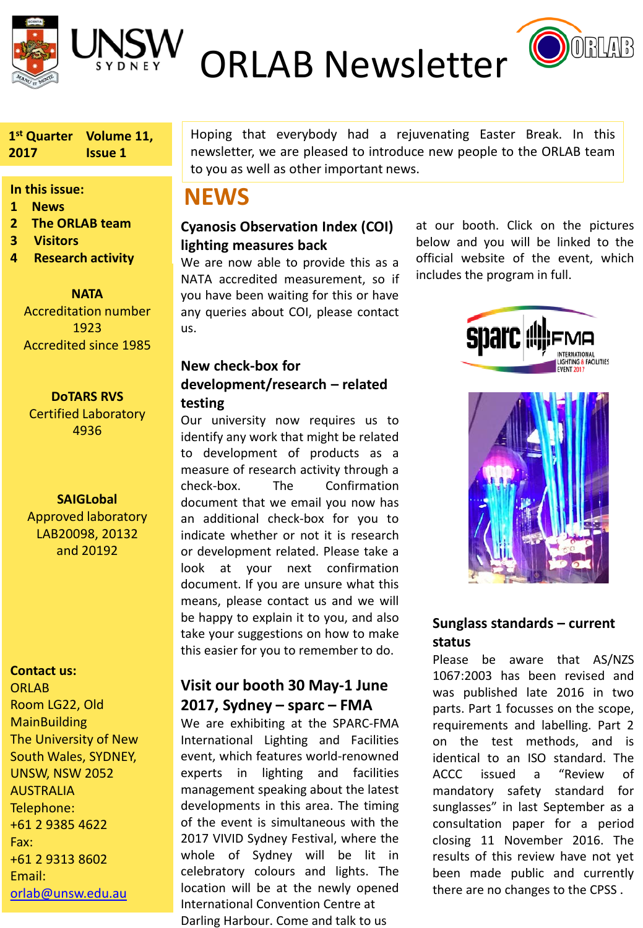



**ORLAB Newsletter OORLAB** 

**1st Quarter Volume 11, 2017 Issue 1**

#### **In this issue:**

- **1 News**
- **2 The ORLAB team**
- **3 Visitors**
- **4 Research activity**

**NATA** Accreditation number 1923 Accredited since 1985

**DoTARS RVS**

Certified Laboratory 4936

### **SAIGLobal**

Approved laboratory LAB20098, 20132 and 20192

#### **Contact us:**

**ORLAB** Room LG22, Old **MainBuilding** The University of New South Wales, SYDNEY, UNSW, NSW 2052 AUSTRALIA Telephone: +61 2 9385 4622 Fax: +61 2 9313 8602 Email: [orlab@unsw.edu.au](mailto:orlab@unsw.edu.au)

Hoping that everybody had a rejuvenating Easter Break. In this newsletter, we are pleased to introduce new people to the ORLAB team to you as well as other important news.

## **NEWS**

## **Cyanosis Observation Index (COI) lighting measures back**

We are now able to provide this as a NATA accredited measurement, so if you have been waiting for this or have any queries about COI, please contact us.

**New check-box for development/research – related** 

#### **testing**

Our university now requires us to identify any work that might be related to development of products as a measure of research activity through a check-box. The Confirmation document that we email you now has an additional check-box for you to indicate whether or not it is research or development related. Please take a look at your next confirmation document. If you are unsure what this means, please contact us and we will be happy to explain it to you, and also take your suggestions on how to make this easier for you to remember to do.

## **Visit our booth 30 May-1 June 2017, Sydney – sparc – FMA**

We are exhibiting at the SPARC-FMA International Lighting and Facilities event, which features world-renowned experts in lighting and facilities management speaking about the latest developments in this area. The timing of the event is simultaneous with the 2017 VIVID Sydney Festival, where the whole of Sydney will be lit in celebratory colours and lights. The location will be at the newly opened International Convention Centre at Darling Harbour. Come and talk to us

at our booth. Click on the pictures below and you will be linked to the official website of the event, which includes the program in full.





## **Sunglass standards – current status**

Please be aware that AS/NZS 1067:2003 has been revised and was published late 2016 in two parts. Part 1 focusses on the scope, requirements and labelling. Part 2 on the test methods, and is identical to an ISO standard. The ACCC issued a "Review of mandatory safety standard for sunglasses" in last September as a consultation paper for a period closing 11 November 2016. The results of this review have not yet been made public and currently there are no changes to the CPSS .